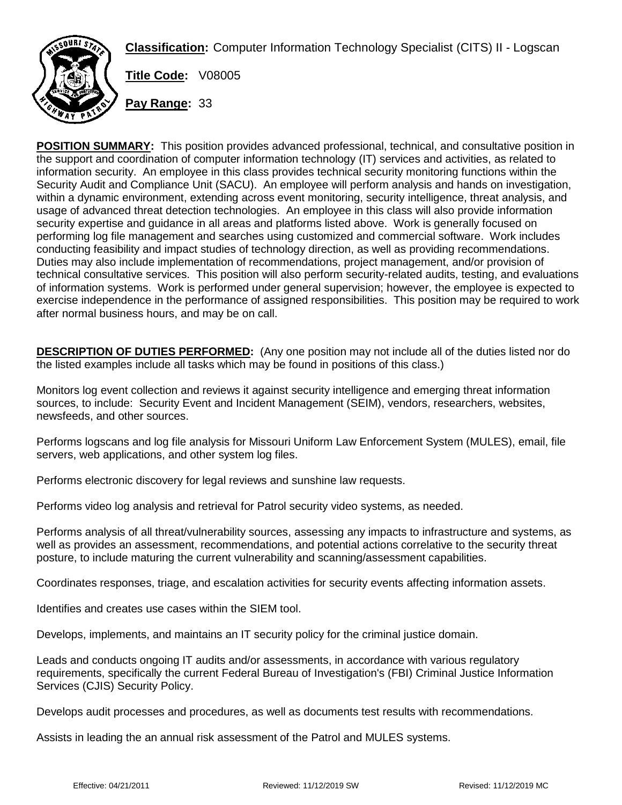

**Classification:** Computer Information Technology Specialist (CITS) II - Logscan

**Title Code:** V08005

**Pay Range:** 33

**POSITION SUMMARY:** This position provides advanced professional, technical, and consultative position in the support and coordination of computer information technology (IT) services and activities, as related to information security. An employee in this class provides technical security monitoring functions within the Security Audit and Compliance Unit (SACU). An employee will perform analysis and hands on investigation, within a dynamic environment, extending across event monitoring, security intelligence, threat analysis, and usage of advanced threat detection technologies. An employee in this class will also provide information security expertise and guidance in all areas and platforms listed above. Work is generally focused on performing log file management and searches using customized and commercial software. Work includes conducting feasibility and impact studies of technology direction, as well as providing recommendations. Duties may also include implementation of recommendations, project management, and/or provision of technical consultative services. This position will also perform security-related audits, testing, and evaluations of information systems. Work is performed under general supervision; however, the employee is expected to exercise independence in the performance of assigned responsibilities. This position may be required to work after normal business hours, and may be on call.

**DESCRIPTION OF DUTIES PERFORMED:** (Any one position may not include all of the duties listed nor do the listed examples include all tasks which may be found in positions of this class.)

Monitors log event collection and reviews it against security intelligence and emerging threat information sources, to include: Security Event and Incident Management (SEIM), vendors, researchers, websites, newsfeeds, and other sources.

Performs logscans and log file analysis for Missouri Uniform Law Enforcement System (MULES), email, file servers, web applications, and other system log files.

Performs electronic discovery for legal reviews and sunshine law requests.

Performs video log analysis and retrieval for Patrol security video systems, as needed.

Performs analysis of all threat/vulnerability sources, assessing any impacts to infrastructure and systems, as well as provides an assessment, recommendations, and potential actions correlative to the security threat posture, to include maturing the current vulnerability and scanning/assessment capabilities.

Coordinates responses, triage, and escalation activities for security events affecting information assets.

Identifies and creates use cases within the SIEM tool.

Develops, implements, and maintains an IT security policy for the criminal justice domain.

Leads and conducts ongoing IT audits and/or assessments, in accordance with various regulatory requirements, specifically the current Federal Bureau of Investigation's (FBI) Criminal Justice Information Services (CJIS) Security Policy.

Develops audit processes and procedures, as well as documents test results with recommendations.

Assists in leading the an annual risk assessment of the Patrol and MULES systems.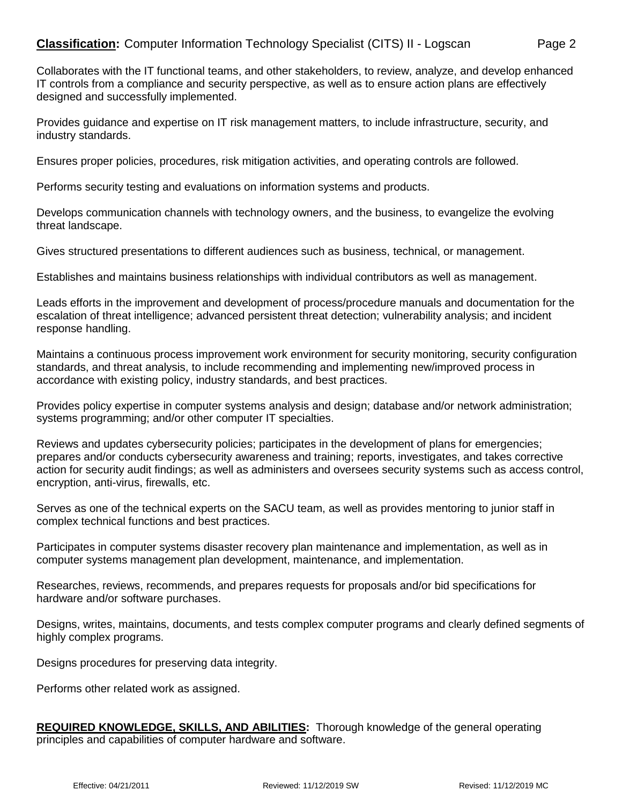Collaborates with the IT functional teams, and other stakeholders, to review, analyze, and develop enhanced IT controls from a compliance and security perspective, as well as to ensure action plans are effectively designed and successfully implemented.

Provides guidance and expertise on IT risk management matters, to include infrastructure, security, and industry standards.

Ensures proper policies, procedures, risk mitigation activities, and operating controls are followed.

Performs security testing and evaluations on information systems and products.

Develops communication channels with technology owners, and the business, to evangelize the evolving threat landscape.

Gives structured presentations to different audiences such as business, technical, or management.

Establishes and maintains business relationships with individual contributors as well as management.

Leads efforts in the improvement and development of process/procedure manuals and documentation for the escalation of threat intelligence; advanced persistent threat detection; vulnerability analysis; and incident response handling.

Maintains a continuous process improvement work environment for security monitoring, security configuration standards, and threat analysis, to include recommending and implementing new/improved process in accordance with existing policy, industry standards, and best practices.

Provides policy expertise in computer systems analysis and design; database and/or network administration; systems programming; and/or other computer IT specialties.

Reviews and updates cybersecurity policies; participates in the development of plans for emergencies; prepares and/or conducts cybersecurity awareness and training; reports, investigates, and takes corrective action for security audit findings; as well as administers and oversees security systems such as access control, encryption, anti-virus, firewalls, etc.

Serves as one of the technical experts on the SACU team, as well as provides mentoring to junior staff in complex technical functions and best practices.

Participates in computer systems disaster recovery plan maintenance and implementation, as well as in computer systems management plan development, maintenance, and implementation.

Researches, reviews, recommends, and prepares requests for proposals and/or bid specifications for hardware and/or software purchases.

Designs, writes, maintains, documents, and tests complex computer programs and clearly defined segments of highly complex programs.

Designs procedures for preserving data integrity.

Performs other related work as assigned.

**REQUIRED KNOWLEDGE, SKILLS, AND ABILITIES:** Thorough knowledge of the general operating principles and capabilities of computer hardware and software.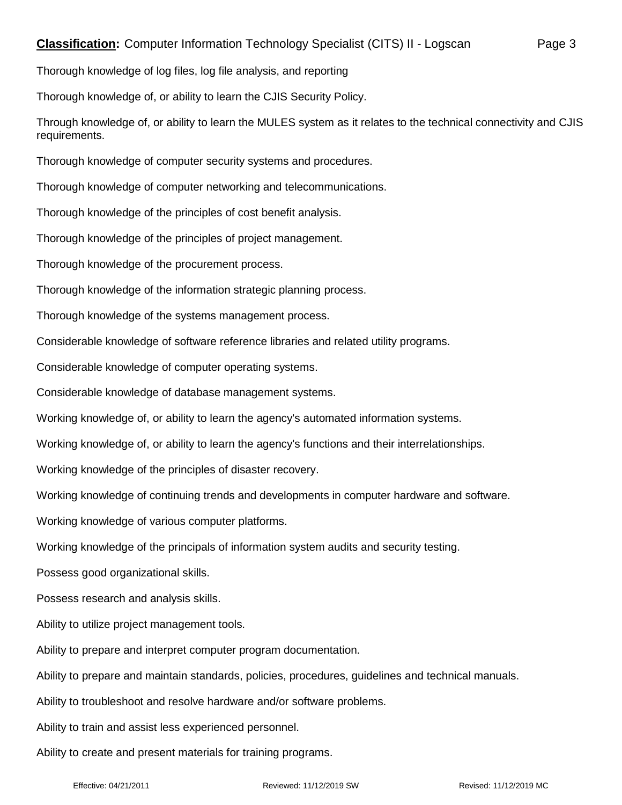Thorough knowledge of, or ability to learn the CJIS Security Policy.

Through knowledge of, or ability to learn the MULES system as it relates to the technical connectivity and CJIS requirements.

Thorough knowledge of computer security systems and procedures.

Thorough knowledge of computer networking and telecommunications.

Thorough knowledge of the principles of cost benefit analysis.

Thorough knowledge of the principles of project management.

Thorough knowledge of the procurement process.

Thorough knowledge of the information strategic planning process.

Thorough knowledge of the systems management process.

Considerable knowledge of software reference libraries and related utility programs.

Considerable knowledge of computer operating systems.

Considerable knowledge of database management systems.

Working knowledge of, or ability to learn the agency's automated information systems.

Working knowledge of, or ability to learn the agency's functions and their interrelationships.

Working knowledge of the principles of disaster recovery.

Working knowledge of continuing trends and developments in computer hardware and software.

Working knowledge of various computer platforms.

Working knowledge of the principals of information system audits and security testing.

Possess good organizational skills.

Possess research and analysis skills.

Ability to utilize project management tools.

Ability to prepare and interpret computer program documentation.

Ability to prepare and maintain standards, policies, procedures, guidelines and technical manuals.

Ability to troubleshoot and resolve hardware and/or software problems.

Ability to train and assist less experienced personnel.

Ability to create and present materials for training programs.